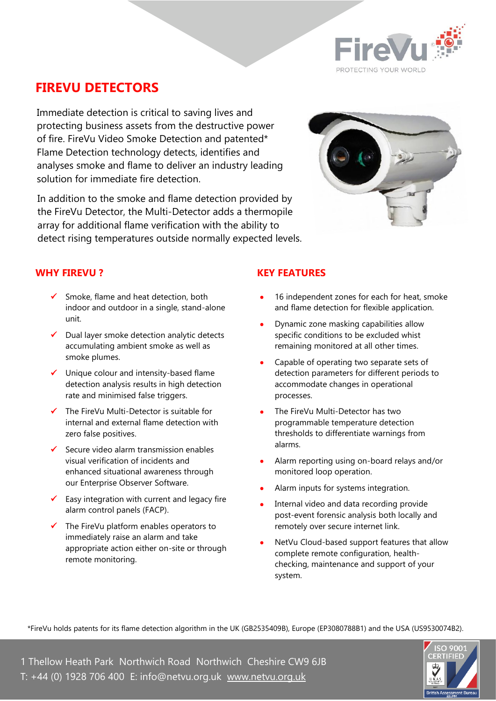

## **FIREVU DETECTORS**

Immediate detection is critical to saving lives and protecting business assets from the destructive power of fire. FireVu Video Smoke Detection and patented\* Flame Detection technology detects, identifies and analyses smoke and flame to deliver an industry leading solution for immediate fire detection.

In addition to the smoke and flame detection provided by the FireVu Detector, the Multi-Detector adds a thermopile array for additional flame verification with the ability to detect rising temperatures outside normally expected levels.



#### **WHY FIREVU ?**

- ✓ Smoke, flame and heat detection, both indoor and outdoor in a single, stand-alone unit.
- ✓ Dual layer smoke detection analytic detects accumulating ambient smoke as well as smoke plumes.
- ✓ Unique colour and intensity-based flame detection analysis results in high detection rate and minimised false triggers.
- ✓ The FireVu Multi-Detector is suitable for internal and external flame detection with zero false positives.
- $\checkmark$  Secure video alarm transmission enables visual verification of incidents and enhanced situational awareness through our Enterprise Observer Software.
- $\checkmark$  Easy integration with current and legacy fire alarm control panels (FACP).
- The FireVu platform enables operators to immediately raise an alarm and take appropriate action either on-site or through remote monitoring.

#### **KEY FEATURES**

- 16 independent zones for each for heat, smoke and flame detection for flexible application.
- Dynamic zone masking capabilities allow specific conditions to be excluded whist remaining monitored at all other times.
- Capable of operating two separate sets of detection parameters for different periods to accommodate changes in operational processes.
- The FireVu Multi-Detector has two programmable temperature detection thresholds to differentiate warnings from alarms.
- Alarm reporting using on-board relays and/or monitored loop operation.
- Alarm inputs for systems integration.
- Internal video and data recording provide post-event forensic analysis both locally and remotely over secure internet link.
- NetVu Cloud-based support features that allow complete remote configuration, healthchecking, maintenance and support of your system.

\*FireVu holds patents for its flame detection algorithm in the UK (GB2535409B), Europe (EP3080788B1) and the USA (US9530074B2).